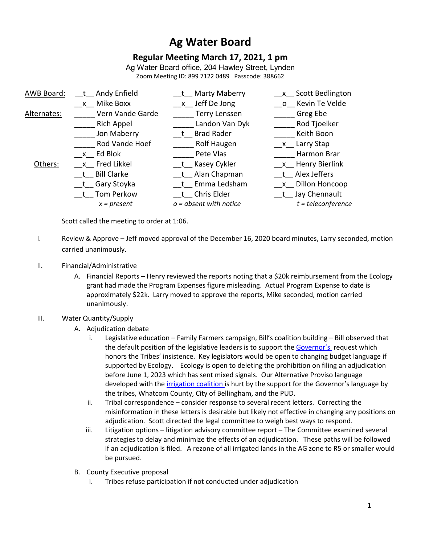# **Ag Water Board**

# **Regular Meeting March 17, 2021, 1 pm**

Ag Water Board office, 204 Hawley Street, Lynden Zoom Meeting ID: 899 7122 0489 Passcode: 388662

| AWB Board:  | t Andy Enfield    | t Marty Maberry          | x Scott Bedlington   |
|-------------|-------------------|--------------------------|----------------------|
|             | x Mike Boxx       | x Jeff De Jong           | o Kevin Te Velde     |
| Alternates: | Vern Vande Garde  | <b>Terry Lenssen</b>     | Greg Ebe             |
|             | Rich Appel        | Landon Van Dyk           | Rod Tjoelker         |
|             | Jon Maberry       | t Brad Rader             | Keith Boon           |
|             | Rod Vande Hoef    | <b>Rolf Haugen</b>       | x Larry Stap         |
|             | x Ed Blok         | Pete Vlas                | Harmon Brar          |
| Others:     | _x_ Fred Likkel   | t Kasey Cykler           | x Henry Bierlink     |
|             | t Bill Clarke     | t Alan Chapman           | t Alex Jeffers       |
|             | __t__ Gary Stoyka | t Emma Ledsham           | x Dillon Honcoop     |
|             | t Tom Perkow      | t Chris Elder            | t Jay Chennault      |
|             | $x = present$     | $o = absent$ with notice | $t = teleconference$ |
|             |                   |                          |                      |

Scott called the meeting to order at 1:06.

- I. Review & Approve Jeff moved approval of the December 16, 2020 board minutes, Larry seconded, motion carried unanimously.
- II. Financial/Administrative
	- A. Financial Reports Henry reviewed the reports noting that a \$20k reimbursement from the Ecology grant had made the Program Expenses figure misleading. Actual Program Expense to date is approximately \$22k. Larry moved to approve the reports, Mike seconded, motion carried unanimously.

#### III. Water Quantity/Supply

- A. Adjudication debate
	- i. Legislative education Family Farmers campaign, Bill's coalition building Bill observed that the default position of the legislative leaders is to support the Governor's request which honors the Tribes' insistence. Key legislators would be open to changing budget language if supported by Ecology. Ecology is open to deleting the prohibition on filing an adjudication before June 1, 2023 which has sent mixed signals. Our Alternative Proviso language developed with the irrigation coalition is hurt by the support for the Governor's language by the tribes, Whatcom County, City of Bellingham, and the PUD.
	- ii. Tribal correspondence consider response to several recent letters. Correcting the misinformation in these letters is desirable but likely not effective in changing any positions on adjudication. Scott directed the legal committee to weigh best ways to respond.
	- iii. Litigation options litigation advisory committee report The Committee examined several strategies to delay and minimize the effects of an adjudication. These paths will be followed if an adjudication is filed. A rezone of all irrigated lands in the AG zone to R5 or smaller would be pursued.
- B. County Executive proposal
	- i. Tribes refuse participation if not conducted under adjudication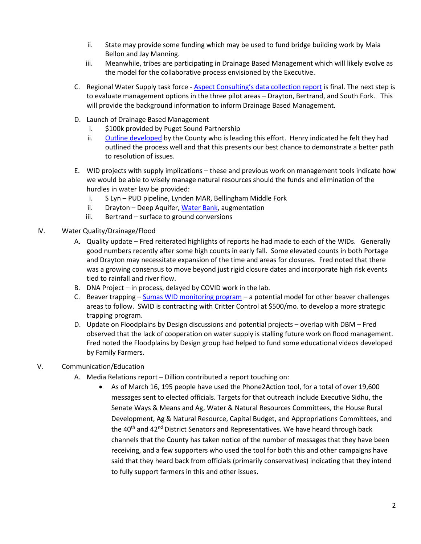- ii. State may provide some funding which may be used to fund bridge building work by Maia Bellon and Jay Manning.
- iii. Meanwhile, tribes are participating in Drainage Based Management which will likely evolve as the model for the collaborative process envisioned by the Executive.
- C. Regional Water Supply task force [Aspect Consulting's data collection report](https://spaces.hightail.com/receive/V5QAwbJNH7) is final. The next step is to evaluate management options in the three pilot areas – Drayton, Bertrand, and South Fork. This will provide the background information to inform Drainage Based Management.
- D. Launch of Drainage Based Management
	- i. \$100k provided by Puget Sound Partnership
	- ii. Outline developed by the County who is leading this effort. Henry indicated he felt they had outlined the process well and that this presents our best chance to demonstrate a better path to resolution of issues.
- E. WID projects with supply implications these and previous work on management tools indicate how we would be able to wisely manage natural resources should the funds and elimination of the hurdles in water law be provided:
	- i. S Lyn PUD pipeline, Lynden MAR, Bellingham Middle Fork
	- ii. Drayton Deep Aquifer, Water Bank, augmentation
	- iii. Bertrand surface to ground conversions
- IV. Water Quality/Drainage/Flood
	- A. Quality update Fred reiterated highlights of reports he had made to each of the WIDs. Generally good numbers recently after some high counts in early fall. Some elevated counts in both Portage and Drayton may necessitate expansion of the time and areas for closures. Fred noted that there was a growing consensus to move beyond just rigid closure dates and incorporate high risk events tied to rainfall and river flow.
	- B. DNA Project in process, delayed by COVID work in the lab.
	- C. Beaver trapping Sumas WID monitoring program a potential model for other beaver challenges areas to follow. SWID is contracting with Critter Control at \$500/mo. to develop a more strategic trapping program.
	- D. Update on Floodplains by Design discussions and potential projects overlap with DBM Fred observed that the lack of cooperation on water supply is stalling future work on flood management. Fred noted the Floodplains by Design group had helped to fund some educational videos developed by Family Farmers.

## V. Communication/Education

- A. Media Relations report Dillion contributed a report touching on:
	- As of March 16, 195 people have used the Phone2Action tool, for a total of over 19,600 messages sent to elected officials. Targets for that outreach include Executive Sidhu, the Senate Ways & Means and Ag, Water & Natural Resources Committees, the House Rural Development, Ag & Natural Resource, Capital Budget, and Appropriations Committees, and the  $40<sup>th</sup>$  and  $42<sup>nd</sup>$  District Senators and Representatives. We have heard through back channels that the County has taken notice of the number of messages that they have been receiving, and a few supporters who used the tool for both this and other campaigns have said that they heard back from officials (primarily conservatives) indicating that they intend to fully support farmers in this and other issues.